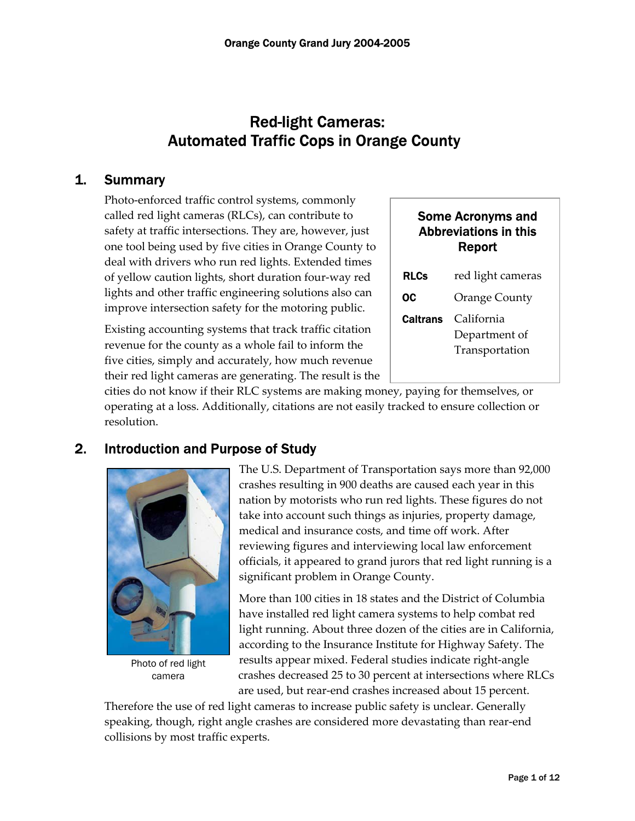# Red-light Cameras: Automated Traffic Cops in Orange County

## 1. Summary

Photo-enforced traffic control systems, commonly called red light cameras (RLCs), can contribute to safety at traffic intersections. They are, however, just one tool being used by five cities in Orange County to deal with drivers who run red lights. Extended times of yellow caution lights, short duration four-way red lights and other traffic engineering solutions also can improve intersection safety for the motoring public.

Existing accounting systems that track traffic citation revenue for the county as a whole fail to inform the five cities, simply and accurately, how much revenue their red light cameras are generating. The result is the

## Some Acronyms and Abbreviations in this Report

| <b>RLCs</b>     | red light cameras                             |  |  |  |
|-----------------|-----------------------------------------------|--|--|--|
| OC              | <b>Orange County</b>                          |  |  |  |
| <b>Caltrans</b> | California<br>Department of<br>Transportation |  |  |  |

cities do not know if their RLC systems are making money, paying for themselves, or operating at a loss. Additionally, citations are not easily tracked to ensure collection or resolution.

## 2. Introduction and Purpose of Study



Photo of red light camera

 The U.S. Department of Transportation says more than 92,000 crashes resulting in 900 deaths are caused each year in this nation by motorists who run red lights. These figures do not take into account such things as injuries, property damage, medical and insurance costs, and time off work. After reviewing figures and interviewing local law enforcement officials, it appeared to grand jurors that red light running is a significant problem in Orange County.

More than 100 cities in 18 states and the District of Columbia have installed red light camera systems to help combat red light running. About three dozen of the cities are in California, according to the Insurance Institute for Highway Safety. The results appear mixed. Federal studies indicate right-angle crashes decreased 25 to 30 percent at intersections where RLCs are used, but rear-end crashes increased about 15 percent.

Therefore the use of red light cameras to increase public safety is unclear. Generally speaking, though, right angle crashes are considered more devastating than rear-end collisions by most traffic experts.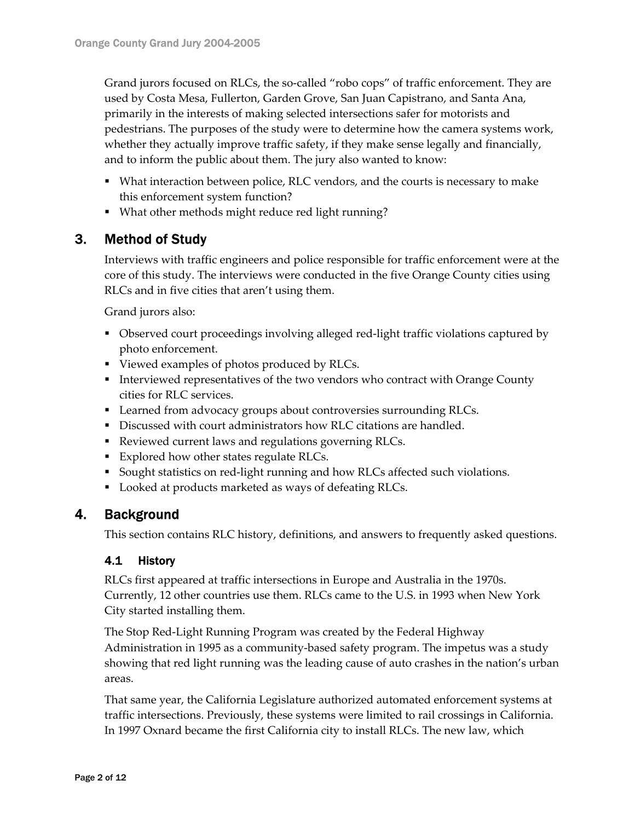Grand jurors focused on RLCs, the so-called "robo cops" of traffic enforcement. They are used by Costa Mesa, Fullerton, Garden Grove, San Juan Capistrano, and Santa Ana, primarily in the interests of making selected intersections safer for motorists and pedestrians. The purposes of the study were to determine how the camera systems work, whether they actually improve traffic safety, if they make sense legally and financially, and to inform the public about them. The jury also wanted to know:

- What interaction between police, RLC vendors, and the courts is necessary to make this enforcement system function?
- What other methods might reduce red light running?

## 3. Method of Study

Interviews with traffic engineers and police responsible for traffic enforcement were at the core of this study. The interviews were conducted in the five Orange County cities using RLCs and in five cities that aren't using them.

Grand jurors also:

- Observed court proceedings involving alleged red-light traffic violations captured by photo enforcement.
- Viewed examples of photos produced by RLCs.
- Interviewed representatives of the two vendors who contract with Orange County cities for RLC services.
- **Learned from advocacy groups about controversies surrounding RLCs.**
- Discussed with court administrators how RLC citations are handled.
- Reviewed current laws and regulations governing RLCs.
- Explored how other states regulate RLCs.
- Sought statistics on red-light running and how RLCs affected such violations.
- **Looked at products marketed as ways of defeating RLCs.**

## 4. Background

This section contains RLC history, definitions, and answers to frequently asked questions.

### 4.1 History

RLCs first appeared at traffic intersections in Europe and Australia in the 1970s. Currently, 12 other countries use them. RLCs came to the U.S. in 1993 when New York City started installing them.

The Stop Red-Light Running Program was created by the Federal Highway Administration in 1995 as a community-based safety program. The impetus was a study showing that red light running was the leading cause of auto crashes in the nation's urban areas.

That same year, the California Legislature authorized automated enforcement systems at traffic intersections. Previously, these systems were limited to rail crossings in California. In 1997 Oxnard became the first California city to install RLCs. The new law, which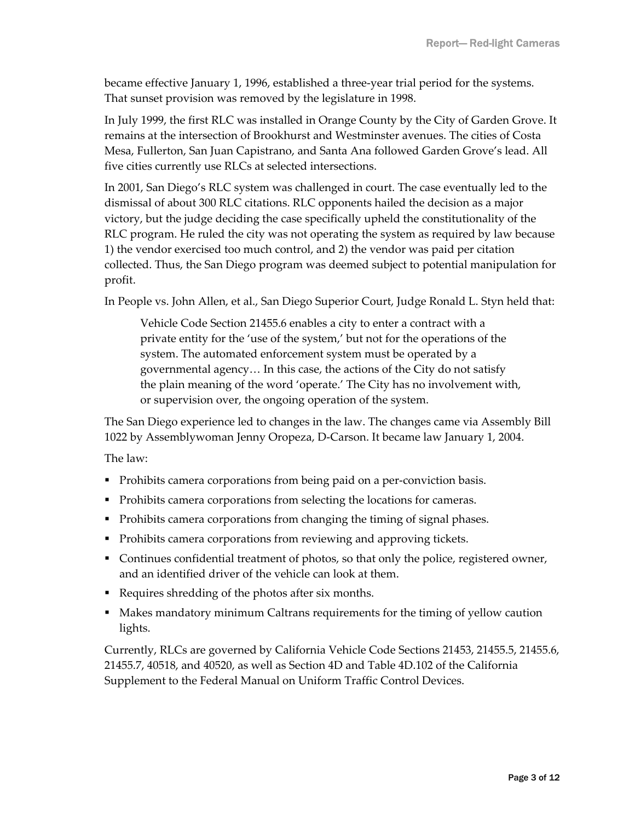became effective January 1, 1996, established a three-year trial period for the systems. That sunset provision was removed by the legislature in 1998.

In July 1999, the first RLC was installed in Orange County by the City of Garden Grove. It remains at the intersection of Brookhurst and Westminster avenues. The cities of Costa Mesa, Fullerton, San Juan Capistrano, and Santa Ana followed Garden Grove's lead. All five cities currently use RLCs at selected intersections.

In 2001, San Diego's RLC system was challenged in court. The case eventually led to the dismissal of about 300 RLC citations. RLC opponents hailed the decision as a major victory, but the judge deciding the case specifically upheld the constitutionality of the RLC program. He ruled the city was not operating the system as required by law because 1) the vendor exercised too much control, and 2) the vendor was paid per citation collected. Thus, the San Diego program was deemed subject to potential manipulation for profit.

In People vs. John Allen, et al., San Diego Superior Court, Judge Ronald L. Styn held that:

Vehicle Code Section 21455.6 enables a city to enter a contract with a private entity for the 'use of the system,' but not for the operations of the system. The automated enforcement system must be operated by a governmental agency… In this case, the actions of the City do not satisfy the plain meaning of the word 'operate.' The City has no involvement with, or supervision over, the ongoing operation of the system.

The San Diego experience led to changes in the law. The changes came via Assembly Bill 1022 by Assemblywoman Jenny Oropeza, D-Carson. It became law January 1, 2004.

The law:

- Prohibits camera corporations from being paid on a per-conviction basis.
- Prohibits camera corporations from selecting the locations for cameras.
- Prohibits camera corporations from changing the timing of signal phases.
- Prohibits camera corporations from reviewing and approving tickets.
- Continues confidential treatment of photos, so that only the police, registered owner, and an identified driver of the vehicle can look at them.
- Requires shredding of the photos after six months.
- Makes mandatory minimum Caltrans requirements for the timing of yellow caution lights.

Currently, RLCs are governed by California Vehicle Code Sections 21453, 21455.5, 21455.6, 21455.7, 40518, and 40520, as well as Section 4D and Table 4D.102 of the California Supplement to the Federal Manual on Uniform Traffic Control Devices.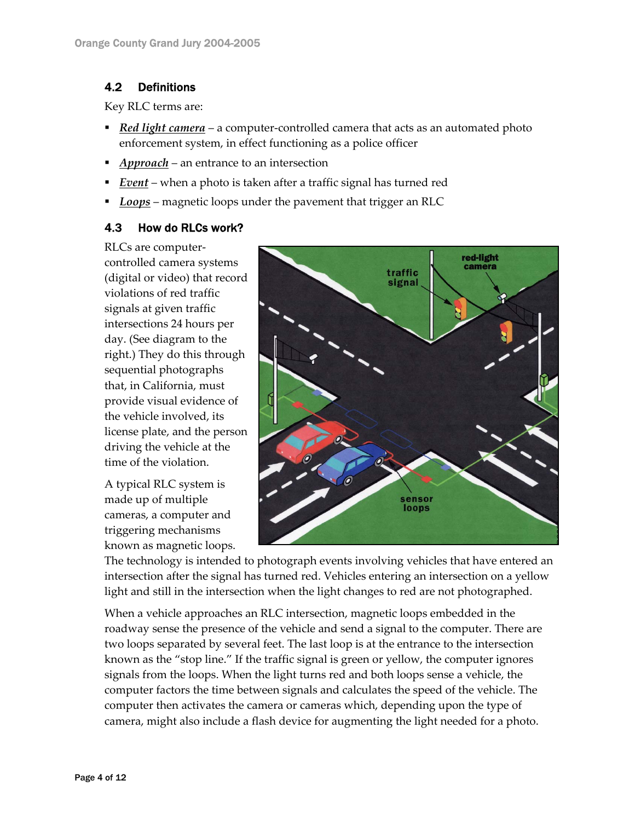## 4.2 Definitions

Key RLC terms are:

- *Red light camera* a computer-controlled camera that acts as an automated photo enforcement system, in effect functioning as a police officer
- *Approach* an entrance to an intersection
- *Event* when a photo is taken after a traffic signal has turned red
- *Loops* magnetic loops under the pavement that trigger an RLC

### 4.3 How do RLCs work?

RLCs are computercontrolled camera systems (digital or video) that record violations of red traffic signals at given traffic intersections 24 hours per day. (See diagram to the right.) They do this through sequential photographs that, in California, must provide visual evidence of the vehicle involved, its license plate, and the person driving the vehicle at the time of the violation.

A typical RLC system is made up of multiple cameras, a computer and triggering mechanisms known as magnetic loops.



The technology is intended to photograph events involving vehicles that have entered an intersection after the signal has turned red. Vehicles entering an intersection on a yellow light and still in the intersection when the light changes to red are not photographed.

When a vehicle approaches an RLC intersection, magnetic loops embedded in the roadway sense the presence of the vehicle and send a signal to the computer. There are two loops separated by several feet. The last loop is at the entrance to the intersection known as the "stop line." If the traffic signal is green or yellow, the computer ignores signals from the loops. When the light turns red and both loops sense a vehicle, the computer factors the time between signals and calculates the speed of the vehicle. The computer then activates the camera or cameras which, depending upon the type of camera, might also include a flash device for augmenting the light needed for a photo.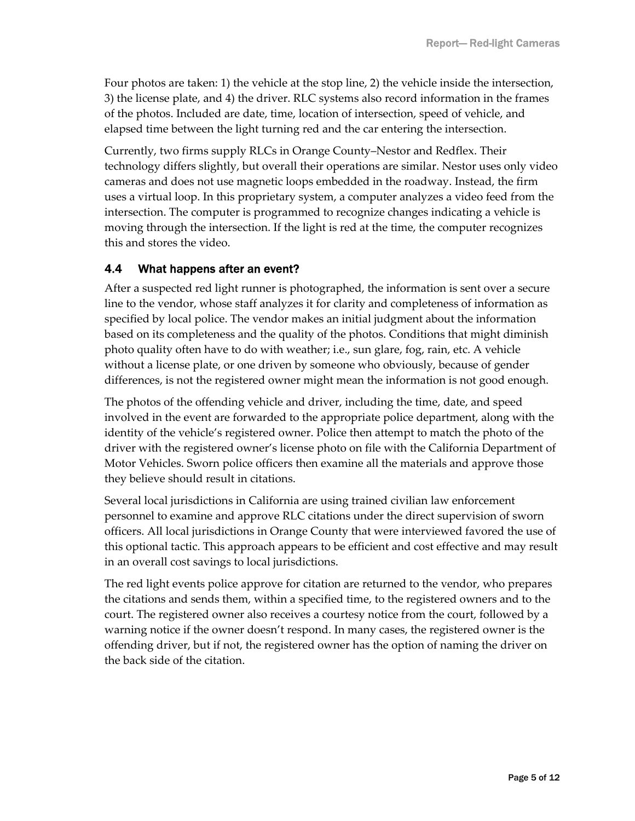Four photos are taken: 1) the vehicle at the stop line, 2) the vehicle inside the intersection, 3) the license plate, and 4) the driver. RLC systems also record information in the frames of the photos. Included are date, time, location of intersection, speed of vehicle, and elapsed time between the light turning red and the car entering the intersection.

Currently, two firms supply RLCs in Orange County–Nestor and Redflex. Their technology differs slightly, but overall their operations are similar. Nestor uses only video cameras and does not use magnetic loops embedded in the roadway. Instead, the firm uses a virtual loop. In this proprietary system, a computer analyzes a video feed from the intersection. The computer is programmed to recognize changes indicating a vehicle is moving through the intersection. If the light is red at the time, the computer recognizes this and stores the video.

#### 4.4 What happens after an event?

After a suspected red light runner is photographed, the information is sent over a secure line to the vendor, whose staff analyzes it for clarity and completeness of information as specified by local police. The vendor makes an initial judgment about the information based on its completeness and the quality of the photos. Conditions that might diminish photo quality often have to do with weather; i.e., sun glare, fog, rain, etc. A vehicle without a license plate, or one driven by someone who obviously, because of gender differences, is not the registered owner might mean the information is not good enough.

The photos of the offending vehicle and driver, including the time, date, and speed involved in the event are forwarded to the appropriate police department, along with the identity of the vehicle's registered owner. Police then attempt to match the photo of the driver with the registered owner's license photo on file with the California Department of Motor Vehicles. Sworn police officers then examine all the materials and approve those they believe should result in citations.

Several local jurisdictions in California are using trained civilian law enforcement personnel to examine and approve RLC citations under the direct supervision of sworn officers. All local jurisdictions in Orange County that were interviewed favored the use of this optional tactic. This approach appears to be efficient and cost effective and may result in an overall cost savings to local jurisdictions.

The red light events police approve for citation are returned to the vendor, who prepares the citations and sends them, within a specified time, to the registered owners and to the court. The registered owner also receives a courtesy notice from the court, followed by a warning notice if the owner doesn't respond. In many cases, the registered owner is the offending driver, but if not, the registered owner has the option of naming the driver on the back side of the citation.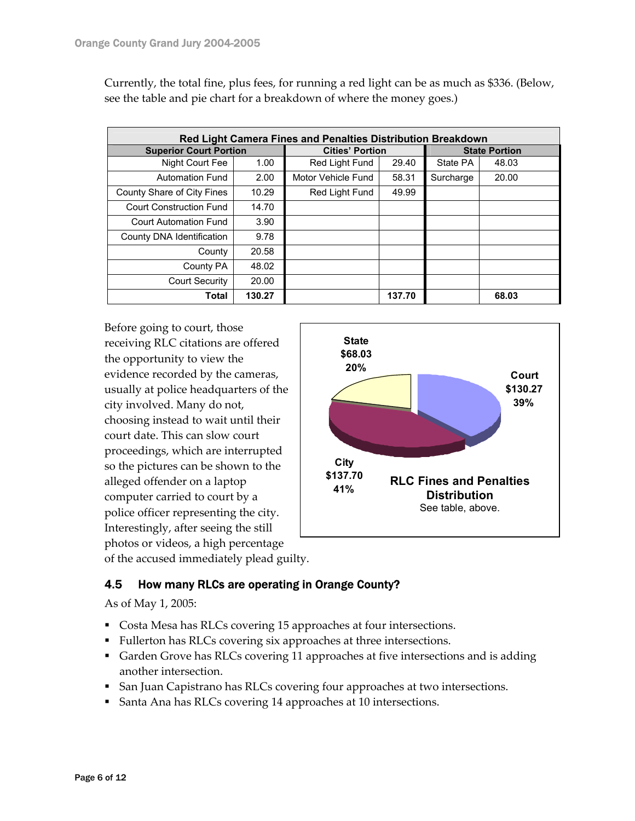| <b>Red Light Camera Fines and Penalties Distribution Breakdown</b> |        |                        |        |                      |       |  |  |  |
|--------------------------------------------------------------------|--------|------------------------|--------|----------------------|-------|--|--|--|
| <b>Superior Court Portion</b>                                      |        | <b>Cities' Portion</b> |        | <b>State Portion</b> |       |  |  |  |
| Night Court Fee                                                    | 1.00   | Red Light Fund         | 29.40  | State PA             | 48.03 |  |  |  |
| <b>Automation Fund</b>                                             | 2.00   | Motor Vehicle Fund     | 58.31  | Surcharge            | 20.00 |  |  |  |
| County Share of City Fines                                         | 10.29  | Red Light Fund         | 49.99  |                      |       |  |  |  |
| <b>Court Construction Fund</b>                                     | 14.70  |                        |        |                      |       |  |  |  |
| Court Automation Fund                                              | 3.90   |                        |        |                      |       |  |  |  |
| County DNA Identification                                          | 9.78   |                        |        |                      |       |  |  |  |
| County                                                             | 20.58  |                        |        |                      |       |  |  |  |
| County PA                                                          | 48.02  |                        |        |                      |       |  |  |  |
| <b>Court Security</b>                                              | 20.00  |                        |        |                      |       |  |  |  |
| Total                                                              | 130.27 |                        | 137.70 |                      | 68.03 |  |  |  |

Currently, the total fine, plus fees, for running a red light can be as much as \$336. (Below, see the table and pie chart for a breakdown of where the money goes.)

Before going to court, those receiving RLC citations are offered the opportunity to view the evidence recorded by the cameras, usually at police headquarters of the city involved. Many do not, choosing instead to wait until their court date. This can slow court proceedings, which are interrupted so the pictures can be shown to the alleged offender on a laptop computer carried to court by a police officer representing the city. Interestingly, after seeing the still photos or videos, a high percentage of the accused immediately plead guilty.



4.5 How many RLCs are operating in Orange County?

As of May 1, 2005:

- Costa Mesa has RLCs covering 15 approaches at four intersections.
- Fullerton has RLCs covering six approaches at three intersections.
- Garden Grove has RLCs covering 11 approaches at five intersections and is adding another intersection.
- **San Juan Capistrano has RLCs covering four approaches at two intersections.**
- Santa Ana has RLCs covering 14 approaches at 10 intersections.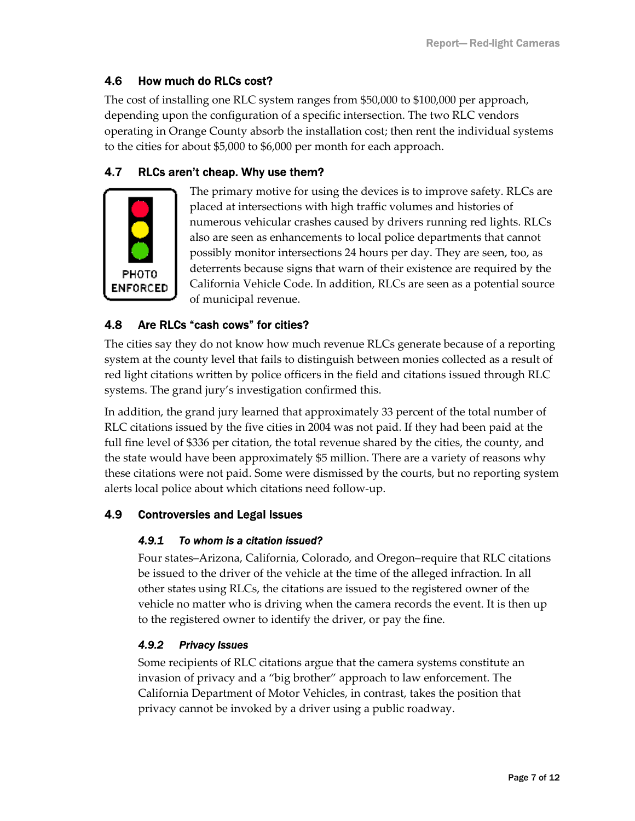## 4.6 How much do RLCs cost?

The cost of installing one RLC system ranges from \$50,000 to \$100,000 per approach, depending upon the configuration of a specific intersection. The two RLC vendors operating in Orange County absorb the installation cost; then rent the individual systems to the cities for about \$5,000 to \$6,000 per month for each approach.

## 4.7 RLCs aren't cheap. Why use them?



The primary motive for using the devices is to improve safety. RLCs are placed at intersections with high traffic volumes and histories of numerous vehicular crashes caused by drivers running red lights. RLCs also are seen as enhancements to local police departments that cannot possibly monitor intersections 24 hours per day. They are seen, too, as deterrents because signs that warn of their existence are required by the California Vehicle Code. In addition, RLCs are seen as a potential source of municipal revenue.

### 4.8 Are RLCs "cash cows" for cities?

The cities say they do not know how much revenue RLCs generate because of a reporting system at the county level that fails to distinguish between monies collected as a result of red light citations written by police officers in the field and citations issued through RLC systems. The grand jury's investigation confirmed this.

In addition, the grand jury learned that approximately 33 percent of the total number of RLC citations issued by the five cities in 2004 was not paid. If they had been paid at the full fine level of \$336 per citation, the total revenue shared by the cities, the county, and the state would have been approximately \$5 million. There are a variety of reasons why these citations were not paid. Some were dismissed by the courts, but no reporting system alerts local police about which citations need follow-up.

### 4.9 Controversies and Legal Issues

#### *4.9.1 To whom is a citation issued?*

Four states–Arizona, California, Colorado, and Oregon–require that RLC citations be issued to the driver of the vehicle at the time of the alleged infraction. In all other states using RLCs, the citations are issued to the registered owner of the vehicle no matter who is driving when the camera records the event. It is then up to the registered owner to identify the driver, or pay the fine.

#### *4.9.2 Privacy Issues*

Some recipients of RLC citations argue that the camera systems constitute an invasion of privacy and a "big brother" approach to law enforcement. The California Department of Motor Vehicles, in contrast, takes the position that privacy cannot be invoked by a driver using a public roadway.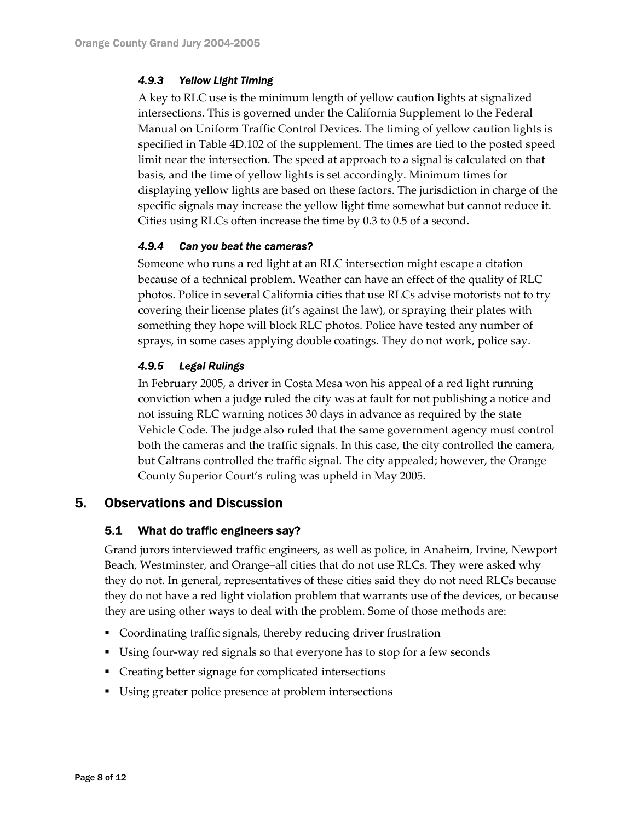#### *4.9.3 Yellow Light Timing*

A key to RLC use is the minimum length of yellow caution lights at signalized intersections. This is governed under the California Supplement to the Federal Manual on Uniform Traffic Control Devices. The timing of yellow caution lights is specified in Table 4D.102 of the supplement. The times are tied to the posted speed limit near the intersection. The speed at approach to a signal is calculated on that basis, and the time of yellow lights is set accordingly. Minimum times for displaying yellow lights are based on these factors. The jurisdiction in charge of the specific signals may increase the yellow light time somewhat but cannot reduce it. Cities using RLCs often increase the time by 0.3 to 0.5 of a second.

#### *4.9.4 Can you beat the cameras?*

Someone who runs a red light at an RLC intersection might escape a citation because of a technical problem. Weather can have an effect of the quality of RLC photos. Police in several California cities that use RLCs advise motorists not to try covering their license plates (it's against the law), or spraying their plates with something they hope will block RLC photos. Police have tested any number of sprays, in some cases applying double coatings. They do not work, police say.

#### *4.9.5 Legal Rulings*

In February 2005, a driver in Costa Mesa won his appeal of a red light running conviction when a judge ruled the city was at fault for not publishing a notice and not issuing RLC warning notices 30 days in advance as required by the state Vehicle Code. The judge also ruled that the same government agency must control both the cameras and the traffic signals. In this case, the city controlled the camera, but Caltrans controlled the traffic signal. The city appealed; however, the Orange County Superior Court's ruling was upheld in May 2005.

### 5. Observations and Discussion

#### 5.1 What do traffic engineers say?

Grand jurors interviewed traffic engineers, as well as police, in Anaheim, Irvine, Newport Beach, Westminster, and Orange–all cities that do not use RLCs. They were asked why they do not. In general, representatives of these cities said they do not need RLCs because they do not have a red light violation problem that warrants use of the devices, or because they are using other ways to deal with the problem. Some of those methods are:

- Coordinating traffic signals, thereby reducing driver frustration
- Using four-way red signals so that everyone has to stop for a few seconds
- Creating better signage for complicated intersections
- Using greater police presence at problem intersections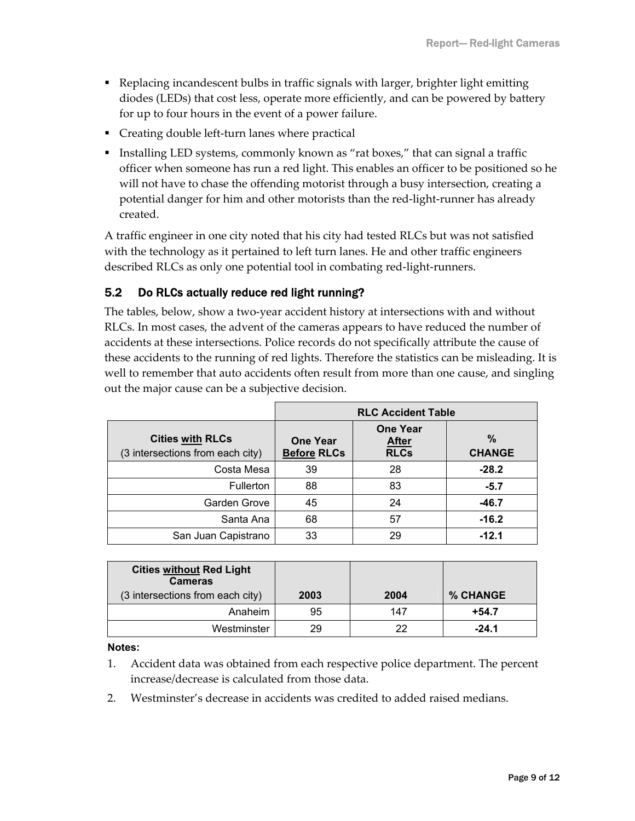- Replacing incandescent bulbs in traffic signals with larger, brighter light emitting diodes (LEDs) that cost less, operate more efficiently, and can be powered by battery for up to four hours in the event of a power failure.
- Creating double left-turn lanes where practical
- Installing LED systems, commonly known as "rat boxes," that can signal a traffic officer when someone has run a red light. This enables an officer to be positioned so he will not have to chase the offending motorist through a busy intersection, creating a potential danger for him and other motorists than the red-light-runner has already created.

A traffic engineer in one city noted that his city had tested RLCs but was not satisfied with the technology as it pertained to left turn lanes. He and other traffic engineers described RLCs as only one potential tool in combating red-light-runners.

## 5.2 Do RLCs actually reduce red light running?

The tables, below, show a two-year accident history at intersections with and without RLCs. In most cases, the advent of the cameras appears to have reduced the number of accidents at these intersections. Police records do not specifically attribute the cause of these accidents to the running of red lights. Therefore the statistics can be misleading. It is well to remember that auto accidents often result from more than one cause, and singling out the major cause can be a subjective decision.

|                                                             | <b>RLC Accident Table</b>             |                                                |                       |  |
|-------------------------------------------------------------|---------------------------------------|------------------------------------------------|-----------------------|--|
| <b>Cities with RLCs</b><br>(3 intersections from each city) | <b>One Year</b><br><b>Before RLCs</b> | <b>One Year</b><br><b>After</b><br><b>RLCs</b> | $\%$<br><b>CHANGE</b> |  |
| Costa Mesa                                                  | 39                                    | 28                                             | $-28.2$               |  |
| Fullerton                                                   | 88                                    | 83                                             | $-5.7$                |  |
| Garden Grove                                                | 45                                    | 24                                             | $-46.7$               |  |
| Santa Ana                                                   | 68                                    | 57                                             | $-16.2$               |  |
| San Juan Capistrano                                         | 33                                    | 29                                             | $-12.1$               |  |

| <b>Cities without Red Light</b><br><b>Cameras</b> |      |      |                 |
|---------------------------------------------------|------|------|-----------------|
| (3 intersections from each city)                  | 2003 | 2004 | <b>% CHANGE</b> |
| Anaheim                                           | 95   | 147  | $+54.7$         |
| Westminster                                       | 29   | 22   | $-24.1$         |

**Notes:** 

- 1. Accident data was obtained from each respective police department. The percent increase/decrease is calculated from those data.
- 2. Westminster's decrease in accidents was credited to added raised medians.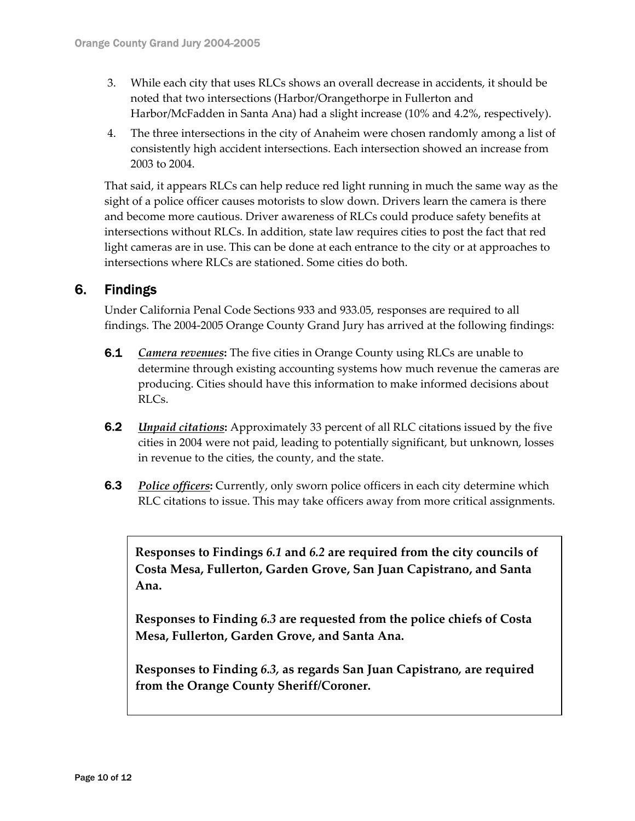- 3. While each city that uses RLCs shows an overall decrease in accidents, it should be noted that two intersections (Harbor/Orangethorpe in Fullerton and Harbor/McFadden in Santa Ana) had a slight increase (10% and 4.2%, respectively).
- 4. The three intersections in the city of Anaheim were chosen randomly among a list of consistently high accident intersections. Each intersection showed an increase from 2003 to 2004.

That said, it appears RLCs can help reduce red light running in much the same way as the sight of a police officer causes motorists to slow down. Drivers learn the camera is there and become more cautious. Driver awareness of RLCs could produce safety benefits at intersections without RLCs. In addition, state law requires cities to post the fact that red light cameras are in use. This can be done at each entrance to the city or at approaches to intersections where RLCs are stationed. Some cities do both.

## 6. Findings

Under California Penal Code Sections 933 and 933.05, responses are required to all findings. The 2004-2005 Orange County Grand Jury has arrived at the following findings:

- 6.1 *Camera revenues***:** The five cities in Orange County using RLCs are unable to determine through existing accounting systems how much revenue the cameras are producing. Cities should have this information to make informed decisions about RLCs.
- 6.2 *Unpaid citations***:** Approximately 33 percent of all RLC citations issued by the five cities in 2004 were not paid, leading to potentially significant, but unknown, losses in revenue to the cities, the county, and the state.
- **6.3** *Police officers:* Currently, only sworn police officers in each city determine which RLC citations to issue. This may take officers away from more critical assignments.

**Responses to Findings** *6.1* **and** *6.2* **are required from the city councils of Costa Mesa, Fullerton, Garden Grove, San Juan Capistrano, and Santa Ana.** 

**Responses to Finding** *6.3* **are requested from the police chiefs of Costa Mesa, Fullerton, Garden Grove, and Santa Ana.** 

**Responses to Finding** *6.3,* **as regards San Juan Capistrano***,* **are required from the Orange County Sheriff/Coroner.**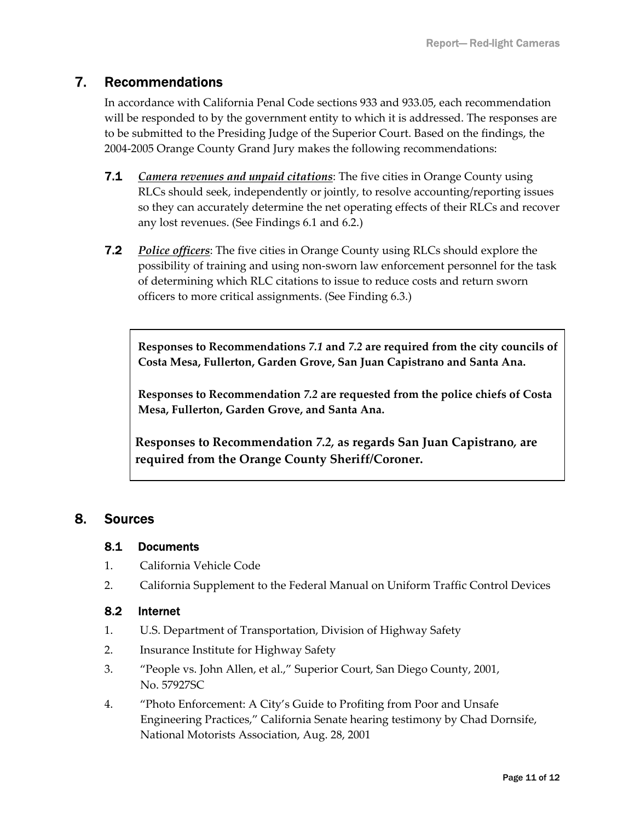## 7. Recommendations

In accordance with California Penal Code sections 933 and 933.05, each recommendation will be responded to by the government entity to which it is addressed. The responses are to be submitted to the Presiding Judge of the Superior Court. Based on the findings, the 2004-2005 Orange County Grand Jury makes the following recommendations:

- 7.1 *Camera revenues and unpaid citations*: The five cities in Orange County using RLCs should seek, independently or jointly, to resolve accounting/reporting issues so they can accurately determine the net operating effects of their RLCs and recover any lost revenues. (See Findings 6.1 and 6.2.)
- 7.2 *Police officers*: The five cities in Orange County using RLCs should explore the possibility of training and using non-sworn law enforcement personnel for the task of determining which RLC citations to issue to reduce costs and return sworn officers to more critical assignments. (See Finding 6.3.)

**Responses to Recommendations** *7.1* **and** *7.2* **are required from the city councils of Costa Mesa, Fullerton, Garden Grove, San Juan Capistrano and Santa Ana.** 

**Responses to Recommendation** *7.2* **are requested from the police chiefs of Costa Mesa, Fullerton, Garden Grove, and Santa Ana.** 

**Responses to Recommendation** *7.2,* **as regards San Juan Capistrano***,* **are required from the Orange County Sheriff/Coroner.** 

## 8. Sources

#### 8.1 Documents

- 1. California Vehicle Code
- 2. California Supplement to the Federal Manual on Uniform Traffic Control Devices

#### 8.2 Internet

- 1. U.S. Department of Transportation, Division of Highway Safety
- 2. Insurance Institute for Highway Safety
- 3. "People vs. John Allen, et al.," Superior Court, San Diego County, 2001, No. 57927SC
- 4. "Photo Enforcement: A City's Guide to Profiting from Poor and Unsafe Engineering Practices," California Senate hearing testimony by Chad Dornsife, National Motorists Association, Aug. 28, 2001